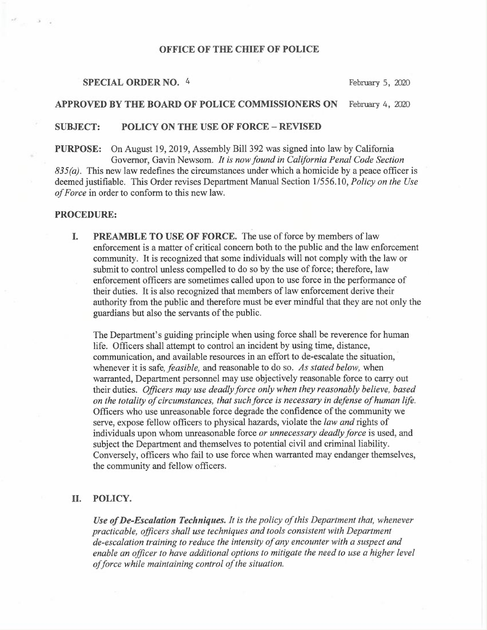# OFFICE OF THE CHIEF OF POLICE

#### SPECIAL ORDER NO. 4 February 5, 2020

## APPROVED BY THE BOARD OF POLICE COMMISSIONERS ON February 4, 2020

## SUBJECT: POLICY ON THE USE OF FORCE —REVISED

PURPOSE: On August 19, 2019, Assembly Bill 392 was signed into law by California Governor, Gavin Newsom. It is now found in California Penal Code Section  $835(a)$ . This new law redefines the circumstances under which a homicide by a peace officer is deemed justifiable. This Order revises Department Manual Section 1/556.10, Policy on the Use of Force in order to conform to this new law.

# PROCEDURE:

I. PREAMBLE TO USE OF FORCE. The use of force by members of law enforcement is a matter of critical concern both to the public and the law enforcement community. It is recognized that some individuals will not comply with the law or submit to control unless compelled to do so by the use of force; therefore, law enforcement officers are sometimes called upon to use force in the performance of their duties. It is also recognized that members of law enforcement derive their authority from the public and therefore must be ever mindful that they are not only the guardians but also the servants of the public.

The Department's guiding principle when using force shall be reverence for human life. Officers shall attempt to control an incident by using time, distance, communication, and available resources in an effort to de-escalate the situation, whenever it is safe, *feasible*, and reasonable to do so. As stated below, when warranted, Department personnel may use objectively reasonable force to carry out their duties. Officers may use deadly force only when they reasonably believe, based on the totality of circumstances, that such force is necessary in defense of human life. Officers who use unreasonable force degrade the confidence of the community we serve, expose fellow officers to physical hazards, violate the *law and* rights of individuals upon whom unreasonable force or unnecessary deadly force is used, and subject the Department and themselves to potential civil and criminal liability. Conversely, officers who fail to use force when warranted may endanger themselves, the community and fellow officers.

## II. POLICY.

Use of De-Escalation Techniques. It is the policy of this Department that, whenever practicable, officers shall use techniques and tools consistent with Department de-escalation training to reduce the intensity of any encounter with a suspect and enable an officer to have additional options to mitigate the need to use a higher level of force while maintaining control of the situation.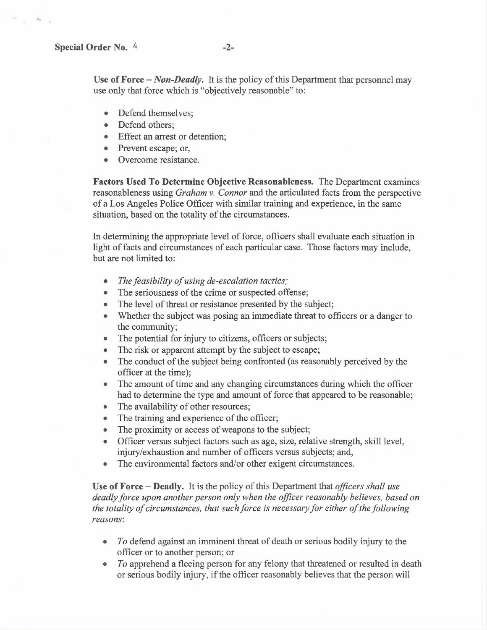Use of Force  $-Non$ -Deadly. It is the policy of this Department that personnel may use only that force which is "objectively reasonable" to:

- Defend themselves;
- Defend others:
- Effect an arrest or detention;
- Prevent escape; or,
- Overcome resistance.

Factors Used To Determine Objective Reasonableness. The Department examines reasonableness using *Graham v. Connor* and the articulated facts from the perspective of a Los Angeles Police Officer with similar training and experience, in the same situation, based on the totality of the circumstances.

In determining the appropriate level of force, officers shall evaluate each situation in light of facts and circumstances of each particular case. Those factors may include, but are not limited to:

- The feasibility of using de-escalation tactics;
- The seriousness of the crime or suspected offense;
- The level of threat or resistance presented by the subject;
- Whether the subject was posing an immediate threat to officers or a danger to the community;
- The potential for injury to citizens, officers or subjects;
- The risk or apparent attempt by the subject to escape;
- The conduct of the subject being confronted (as reasonably perceived by the officer at the time);
- The amount of time and any changing circumstances during which the officer had to determine the type and amount of force that appeared to be reasonable;
- The availability of other resources;
- The training and experience of the officer;
- The proximity or access of weapons to the subject;
- Officer versus subject factors such as age, size, relative strength, skill level, injury/exhaustion and number of officers versus subjects; and,
- The environmental factors and/or other exigent circumstances.

Use of Force – Deadly. It is the policy of this Department that *officers shall use* deadly force upon another person only when the officer reasonably believes, based on the totality of circumstances, that such force is necessary for either of the following reasons:

- $\bullet$  To defend against an imminent threat of death or serious bodily injury to the officer or to another person; or
- To apprehend a fleeing person for any felony that threatened or resulted in death or serious bodily injury, if the officer reasonably believes that the person will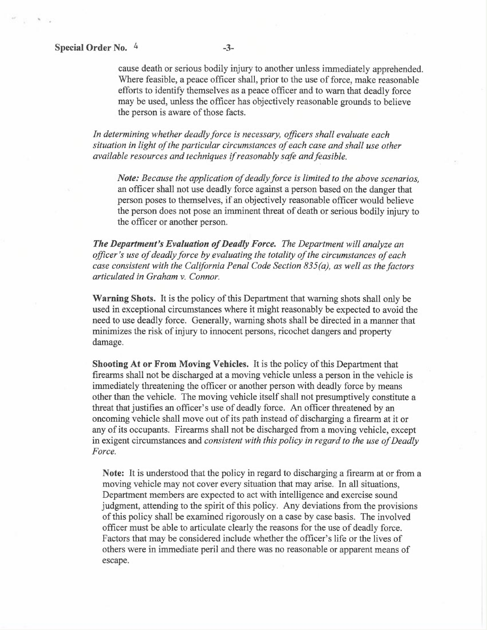cause death or serious bodily injury to another unless immediately apprehended. Where feasible, a peace officer shall, prior to the use of force, make reasonable efforts to identify themselves as a peace officer and to warn that deadly force may be used, unless the officer has objectively reasonable grounds to believe the person is aware of those facts.

In determining whether deadly force is necessary, officers shall evaluate each situation in light of the particular circumstances of each case and shall use other available resources and techniques if reasonably safe and feasible.

Note: Because the application of deadly force is limited to the above scenarios, an officer shall not use deadly force against a person based on the danger that person poses to themselves, if an objectively reasonable officer would believe the person does not pose an imminent threat of death or serious bodily injury to the officer or another person.

The Department's Evaluation of Deadly Force. The Department will analyze an officer's use of deadly force by evaluating the totality of the circumstances of each case consistent with the California Penal Code Section 835(a), as well as the factors articulated in Graham v. Connor.

Warning Shots. It is the policy of this Department that warning shots shall only be used in exceptional circumstances where it might reasonably be expected to avoid the need to use deadly force. Generally, warning shots shall be directed in a manner that minimizes the risk of injury to innocent persons, ricochet dangers and property damage.

Shooting At or From Moving Vehicles. It is the policy of this Department that firearms shall not be discharged at a moving vehicle unless a person in the vehicle is immediately threatening the officer or another person with deadly force by means other than the vehicle. The moving vehicle itself shall not presumptively constitute a threat that justifies an officer's use of deadly force. An officer threatened by an oncoming vehicle shall move out of its path instead of discharging a firearm at it or any of its occupants. Firearms shall not be discharged from a moving vehicle, except in exigent circumstances and consistent with this policy in regard to the use of Deadly Force.

Note: It is understood that the policy in regard to discharging a firearm at or from a moving vehicle may not cover every situation that may arise.. In all situations, Department members are expected to act with intelligence and exercise sound judgment, attending to the spirit of this policy. Any deviations from the provisions of this policy shall be examined rigorously on a case by case basis. The involved officer must be able to articulate clearly the reasons for the use of deadly force. Factors that may be considered include whether the officer's life or the lives of others were in immediate peril and there was no reasonable or apparent means of escape.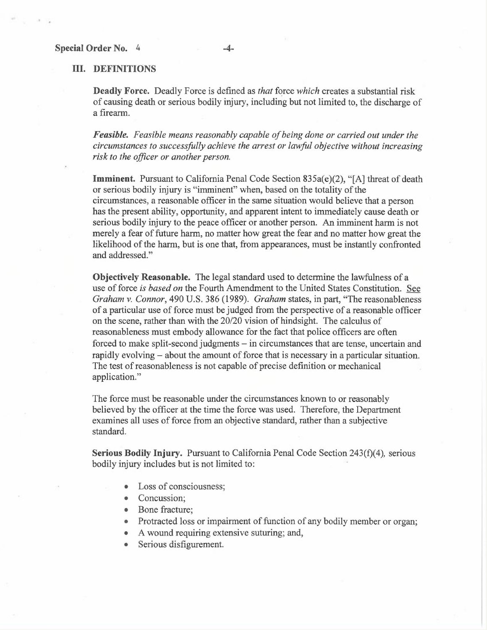#### III. DEFINITIONS

Deadly Force. Deadly Force is defined as that force which creates a substantial risk of causing death or serious bodily injury, including but not limited to, the discharge of a firearm.

Feasible. Feasible means reasonably capable of being done or carried out under the circumstances to successfully achieve the arrest or lawful objective without increasing risk to the officer or another person.

Imminent. Pursuant to California Penal Code Section 835a(e)(2), "[A] threat of death or serious bodily injury is "imminent" when, based on the totality of the circumstances, a reasonable officer in the same situation would believe that a person has the present ability, opportunity, and apparent intent to immediately cause death or serious bodily injury to the peace officer or another person. An imminent harm is not merely a fear of future harm, no matter how great the fear and no matter how great the likelihood of the harm, but is one that, from appearances, must be instantly confronted and addressed."

Objectively Reasonable. The legal standard used to determine the lawfulness of a use of force is based on the Fourth Amendment to the United States Constitution. See Graham v. Connor, 490 U.S. 386 (1989). Graham states, in part, "The reasonableness of a particular use of force must be judged from the perspective of a reasonable officer on the scene, rather than with the 20/20 vision of hindsight. The calculus of reasonableness must embody allowance for the fact that police officers are often forced to make split-second judgments — in circumstances that are tense, uncertain and rapidly evolving – about the amount of force that is necessary in a particular situation. The test of reasonableness is not capable of precise definition or mechanical application."

The force must be reasonable under the circumstances known to or reasonably believed by the officer at the time the force was used. Therefore, the Department examines all uses of force from an objective standard, rather than a subjective standard.

Serious Bodily Injury. Pursuant to California Penal Code Section  $243(f)(4)$ , serious bodily injury includes but is not limited to:

- Loss of consciousness;
- Concussion:
- Bone fracture;
- Protracted loss or impairment of function of any bodily member or organ;
- A wound requiring extensive suturing; and,
- Serious disfigurement.